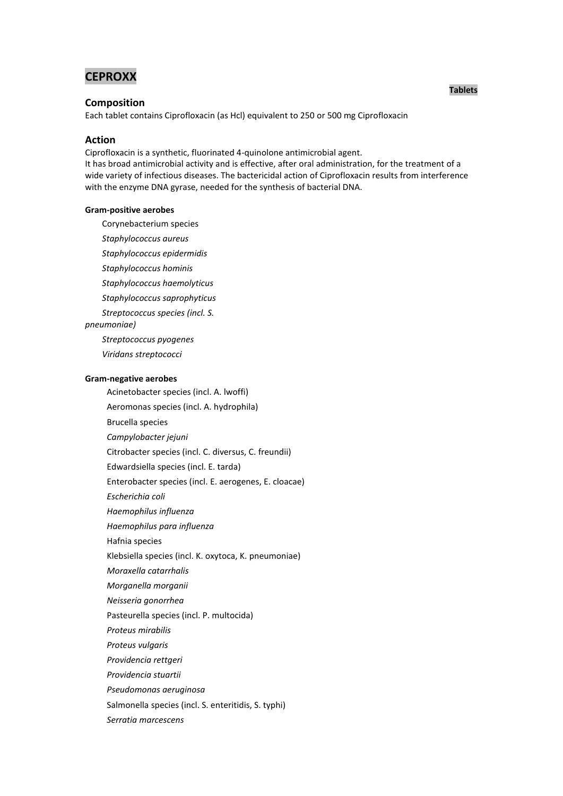# **CEPROXX**

## **Composition**

Each tablet contains Ciprofloxacin (as Hcl) equivalent to 250 or 500 mg Ciprofloxacin

## **Action**

Ciprofloxacin is a synthetic, fluorinated 4-quinolone antimicrobial agent.

It has broad antimicrobial activity and is effective, after oral administration, for the treatment of a wide variety of infectious diseases. The bactericidal action of Ciprofloxacin results from interference with the enzyme DNA gyrase, needed for the synthesis of bacterial DNA.

#### **Gram-positive aerobes**

Corynebacterium species

*Staphylococcus aureus*

*Staphylococcus epidermidis*

*Staphylococcus hominis*

*Staphylococcus haemolyticus*

*Staphylococcus saprophyticus*

*Streptococcus species (incl. S.* 

*pneumoniae)*

*Streptococcus pyogenes*

*Viridans streptococci*

### **Gram-negative aerobes**

 Acinetobacter species (incl. A. lwoffi) Aeromonas species (incl. A. hydrophila) Brucella species *Campylobacter jejuni* Citrobacter species (incl. C. diversus, C. freundii) Edwardsiella species (incl. E. tarda) Enterobacter species (incl. E. aerogenes, E. cloacae) *Escherichia coli Haemophilus influenza Haemophilus para influenza* Hafnia species Klebsiella species (incl. K. oxytoca, K. pneumoniae) *Moraxella catarrhalis Morganella morganii Neisseria gonorrhea* Pasteurella species (incl. P. multocida) *Proteus mirabilis Proteus vulgaris Providencia rettgeri Providencia stuartii Pseudomonas aeruginosa* Salmonella species (incl. S. enteritidis, S. typhi) *Serratia marcescens*

## **Tablets**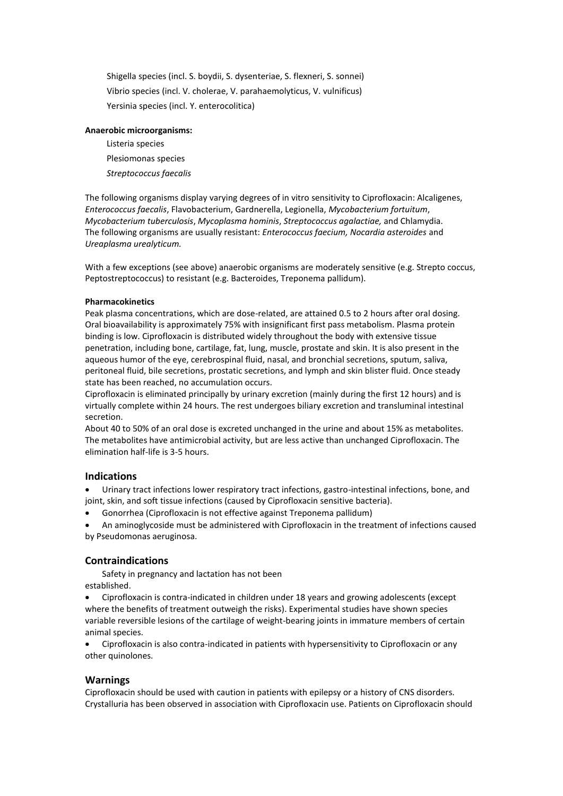Shigella species (incl. S. boydii, S. dysenteriae, S. flexneri, S. sonnei) Vibrio species (incl. V. cholerae, V. parahaemolyticus, V. vulnificus) Yersinia species (incl. Y. enterocolitica)

## **Anaerobic microorganisms:**

 Listeria species Plesiomonas species *Streptococcus faecalis*

The following organisms display varying degrees of in vitro sensitivity to Ciprofloxacin: Alcaligenes, *Enterococcus faecalis*, Flavobacterium, Gardnerella, Legionella, *Mycobacterium fortuitum*, *Mycobacterium tuberculosis*, *Mycoplasma hominis*, *Streptococcus agalactiae,* and Chlamydia. The following organisms are usually resistant: *Enterococcus faecium, Nocardia asteroides* and *Ureaplasma urealyticum.*

With a few exceptions (see above) anaerobic organisms are moderately sensitive (e.g. Strepto coccus, Peptostreptococcus) to resistant (e.g. Bacteroides, Treponema pallidum).

## **Pharmacokinetics**

Peak plasma concentrations, which are dose-related, are attained 0.5 to 2 hours after oral dosing. Oral bioavailability is approximately 75% with insignificant first pass metabolism. Plasma protein binding is low. Ciprofloxacin is distributed widely throughout the body with extensive tissue penetration, including bone, cartilage, fat, lung, muscle, prostate and skin. It is also present in the aqueous humor of the eye, cerebrospinal fluid, nasal, and bronchial secretions, sputum, saliva, peritoneal fluid, bile secretions, prostatic secretions, and lymph and skin blister fluid. Once steady state has been reached, no accumulation occurs.

Ciprofloxacin is eliminated principally by urinary excretion (mainly during the first 12 hours) and is virtually complete within 24 hours. The rest undergoes biliary excretion and transluminal intestinal secretion.

About 40 to 50% of an oral dose is excreted unchanged in the urine and about 15% as metabolites. The metabolites have antimicrobial activity, but are less active than unchanged Ciprofloxacin. The elimination half-life is 3-5 hours.

## **Indications**

 Urinary tract infections lower respiratory tract infections, gastro-intestinal infections, bone, and joint, skin, and soft tissue infections (caused by Ciprofloxacin sensitive bacteria).

Gonorrhea (Ciprofloxacin is not effective against Treponema pallidum)

 An aminoglycoside must be administered with Ciprofloxacin in the treatment of infections caused by Pseudomonas aeruginosa.

## **Contraindications**

 Safety in pregnancy and lactation has not been established.

 Ciprofloxacin is contra-indicated in children under 18 years and growing adolescents (except where the benefits of treatment outweigh the risks). Experimental studies have shown species variable reversible lesions of the cartilage of weight-bearing joints in immature members of certain animal species.

 Ciprofloxacin is also contra-indicated in patients with hypersensitivity to Ciprofloxacin or any other quinolones.

## **Warnings**

Ciprofloxacin should be used with caution in patients with epilepsy or a history of CNS disorders. Crystalluria has been observed in association with Ciprofloxacin use. Patients on Ciprofloxacin should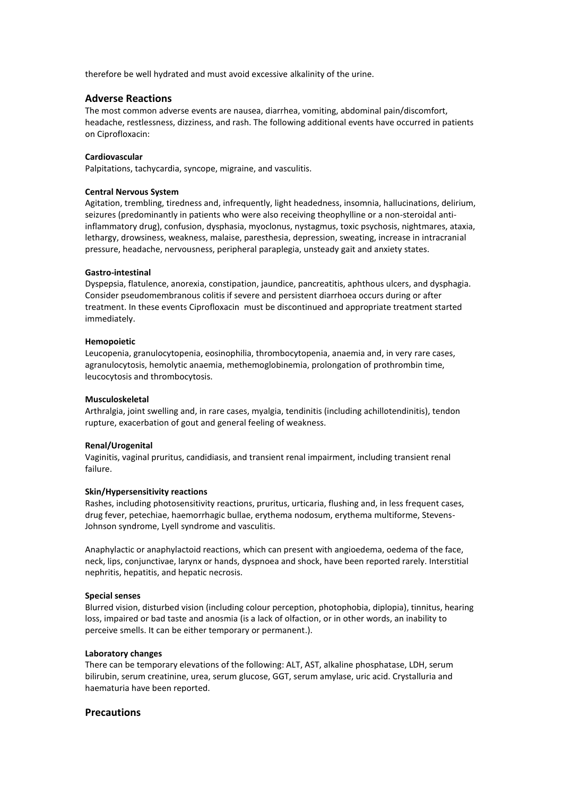therefore be well hydrated and must avoid excessive alkalinity of the urine.

## **Adverse Reactions**

The most common adverse events are nausea, diarrhea, vomiting, abdominal pain/discomfort, headache, restlessness, dizziness, and rash. The following additional events have occurred in patients on Ciprofloxacin:

### **Cardiovascular**

Palpitations, tachycardia, syncope, migraine, and vasculitis.

## **Central Nervous System**

Agitation, trembling, tiredness and, infrequently, light headedness, insomnia, hallucinations, delirium, seizures (predominantly in patients who were also receiving theophylline or a non-steroidal antiinflammatory drug), confusion, dysphasia, myoclonus, nystagmus, toxic psychosis, nightmares, ataxia, lethargy, drowsiness, weakness, malaise, paresthesia, depression, sweating, increase in intracranial pressure, headache, nervousness, peripheral paraplegia, unsteady gait and anxiety states.

### **Gastro-intestinal**

Dyspepsia, flatulence, anorexia, constipation, jaundice, pancreatitis, aphthous ulcers, and dysphagia. Consider pseudomembranous colitis if severe and persistent diarrhoea occurs during or after treatment. In these events Ciprofloxacin must be discontinued and appropriate treatment started immediately.

#### **Hemopoietic**

Leucopenia, granulocytopenia, eosinophilia, thrombocytopenia, anaemia and, in very rare cases, agranulocytosis, hemolytic anaemia, methemoglobinemia, prolongation of prothrombin time, leucocytosis and thrombocytosis.

### **Musculoskeletal**

Arthralgia, joint swelling and, in rare cases, myalgia, tendinitis (including achillotendinitis), tendon rupture, exacerbation of gout and general feeling of weakness.

#### **Renal/Urogenital**

Vaginitis, vaginal pruritus, candidiasis, and transient renal impairment, including transient renal failure.

#### **Skin/Hypersensitivity reactions**

Rashes, including photosensitivity reactions, pruritus, urticaria, flushing and, in less frequent cases, drug fever, petechiae, haemorrhagic bullae, erythema nodosum, erythema multiforme, Stevens-Johnson syndrome, Lyell syndrome and vasculitis.

Anaphylactic or anaphylactoid reactions, which can present with angioedema, oedema of the face, neck, lips, conjunctivae, larynx or hands, dyspnoea and shock, have been reported rarely. Interstitial nephritis, hepatitis, and hepatic necrosis.

#### **Special senses**

Blurred vision, disturbed vision (including colour perception, photophobia, diplopia), tinnitus, hearing loss, impaired or bad taste and anosmia (is a lack of [olfaction,](http://en.wikipedia.org/wiki/Olfaction) or in other words, an inability to perceive smells. It can be either temporary or permanent.).

#### **Laboratory changes**

There can be temporary elevations of the following: ALT, AST, alkaline phosphatase, LDH, serum bilirubin, serum creatinine, urea, serum glucose, GGT, serum amylase, uric acid. Crystalluria and haematuria have been reported.

## **Precautions**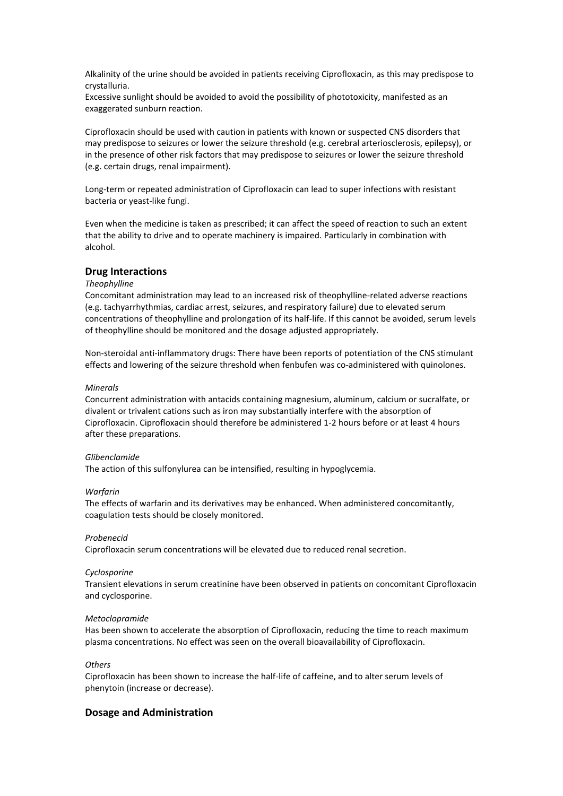Alkalinity of the urine should be avoided in patients receiving Ciprofloxacin, as this may predispose to crystalluria.

Excessive sunlight should be avoided to avoid the possibility of phototoxicity, manifested as an exaggerated sunburn reaction.

Ciprofloxacin should be used with caution in patients with known or suspected CNS disorders that may predispose to seizures or lower the seizure threshold (e.g. cerebral arteriosclerosis, epilepsy), or in the presence of other risk factors that may predispose to seizures or lower the seizure threshold (e.g. certain drugs, renal impairment).

Long-term or repeated administration of Ciprofloxacin can lead to super infections with resistant bacteria or yeast-like fungi.

Even when the medicine is taken as prescribed; it can affect the speed of reaction to such an extent that the ability to drive and to operate machinery is impaired. Particularly in combination with alcohol.

## **Drug Interactions**

## *Theophylline*

Concomitant administration may lead to an increased risk of theophylline-related adverse reactions (e.g. tachyarrhythmias, cardiac arrest, seizures, and respiratory failure) due to elevated serum concentrations of theophylline and prolongation of its half-life. If this cannot be avoided, serum levels of theophylline should be monitored and the dosage adjusted appropriately.

Non-steroidal anti-inflammatory drugs: There have been reports of potentiation of the CNS stimulant effects and lowering of the seizure threshold when fenbufen was co-administered with quinolones.

## *Minerals*

Concurrent administration with antacids containing magnesium, aluminum, calcium or sucralfate, or divalent or trivalent cations such as iron may substantially interfere with the absorption of Ciprofloxacin. Ciprofloxacin should therefore be administered 1-2 hours before or at least 4 hours after these preparations.

#### *Glibenclamide*

The action of this sulfonylurea can be intensified, resulting in hypoglycemia.

#### *Warfarin*

The effects of warfarin and its derivatives may be enhanced. When administered concomitantly, coagulation tests should be closely monitored.

#### *Probenecid*

Ciprofloxacin serum concentrations will be elevated due to reduced renal secretion.

#### *Cyclosporine*

Transient elevations in serum creatinine have been observed in patients on concomitant Ciprofloxacin and cyclosporine.

### *Metoclopramide*

Has been shown to accelerate the absorption of Ciprofloxacin, reducing the time to reach maximum plasma concentrations. No effect was seen on the overall bioavailability of Ciprofloxacin.

## *Others*

Ciprofloxacin has been shown to increase the half-life of caffeine, and to alter serum levels of phenytoin (increase or decrease).

## **Dosage and Administration**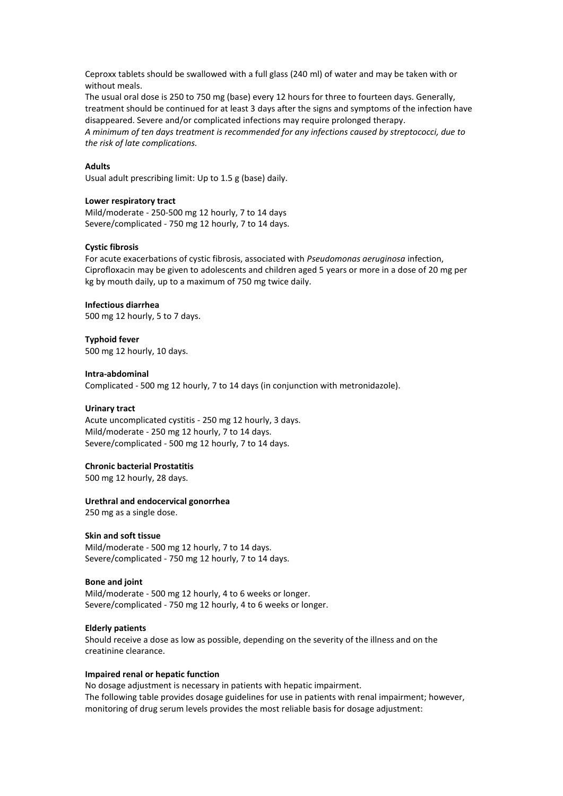Ceproxx tablets should be swallowed with a full glass (240 ml) of water and may be taken with or without meals.

The usual oral dose is 250 to 750 mg (base) every 12 hours for three to fourteen days. Generally, treatment should be continued for at least 3 days after the signs and symptoms of the infection have disappeared. Severe and/or complicated infections may require prolonged therapy.

*A minimum of ten days treatment is recommended for any infections caused by streptococci, due to the risk of late complications.*

### **Adults**

Usual adult prescribing limit: Up to 1.5 g (base) daily.

## **Lower respiratory tract**

Mild/moderate - 250-500 mg 12 hourly, 7 to 14 days Severe/complicated - 750 mg 12 hourly, 7 to 14 days.

### **Cystic fibrosis**

For acute exacerbations of cystic fibrosis, associated with *Pseudomonas aeruginosa* infection, Ciprofloxacin may be given to adolescents and children aged 5 years or more in a dose of 20 mg per kg by mouth daily, up to a maximum of 750 mg twice daily.

### **Infectious diarrhea**

500 mg 12 hourly, 5 to 7 days.

**Typhoid fever** 500 mg 12 hourly, 10 days.

#### **Intra-abdominal**

Complicated - 500 mg 12 hourly, 7 to 14 days (in conjunction with metronidazole).

## **Urinary tract**

Acute uncomplicated cystitis - 250 mg 12 hourly, 3 days. Mild/moderate - 250 mg 12 hourly, 7 to 14 days. Severe/complicated - 500 mg 12 hourly, 7 to 14 days.

## **Chronic bacterial Prostatitis**

500 mg 12 hourly, 28 days.

### **Urethral and endocervical gonorrhea**

250 mg as a single dose.

## **Skin and soft tissue**

Mild/moderate - 500 mg 12 hourly, 7 to 14 days. Severe/complicated - 750 mg 12 hourly, 7 to 14 days.

### **Bone and joint**

Mild/moderate - 500 mg 12 hourly, 4 to 6 weeks or longer. Severe/complicated - 750 mg 12 hourly, 4 to 6 weeks or longer.

## **Elderly patients**

Should receive a dose as low as possible, depending on the severity of the illness and on the creatinine clearance.

#### **Impaired renal or hepatic function**

No dosage adjustment is necessary in patients with hepatic impairment. The following table provides dosage guidelines for use in patients with renal impairment; however, monitoring of drug serum levels provides the most reliable basis for dosage adjustment: